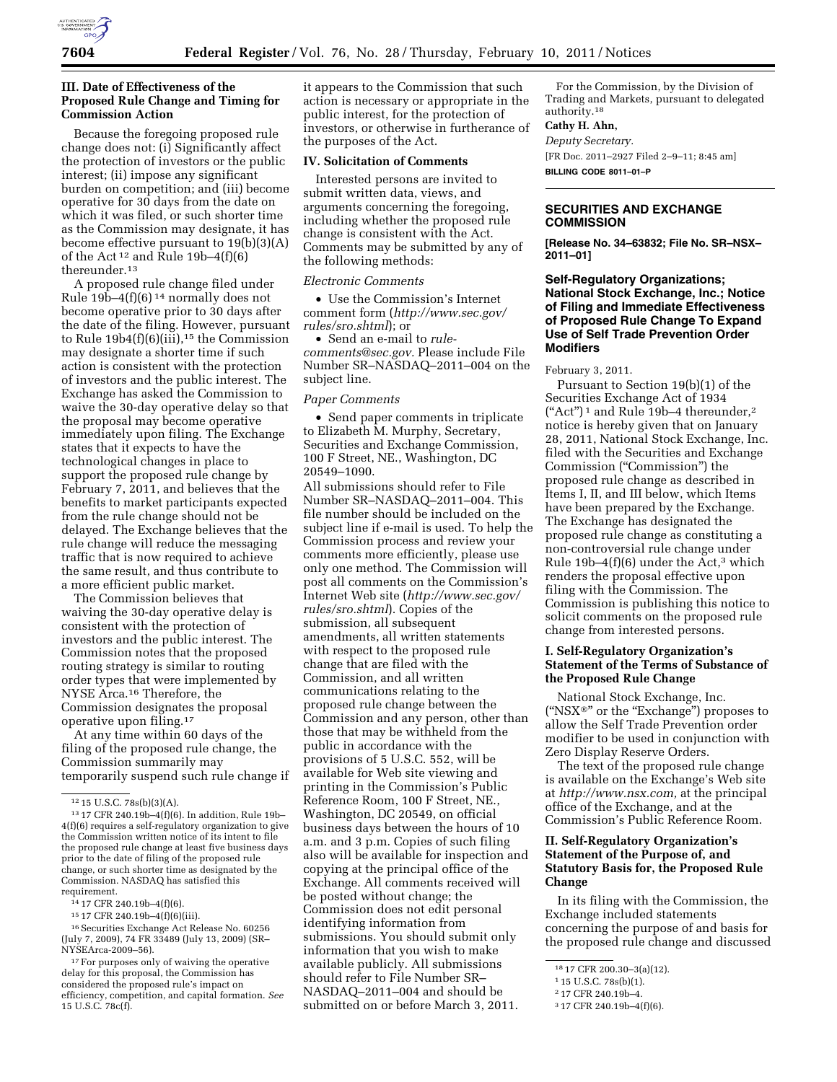

## **III. Date of Effectiveness of the Proposed Rule Change and Timing for Commission Action**

Because the foregoing proposed rule change does not: (i) Significantly affect the protection of investors or the public interest; (ii) impose any significant burden on competition; and (iii) become operative for 30 days from the date on which it was filed, or such shorter time as the Commission may designate, it has become effective pursuant to 19(b)(3)(A) of the Act<sup>12</sup> and Rule 19b–4(f)(6) thereunder.<sup>13</sup>

A proposed rule change filed under Rule 19b–4 $(f)(6)^{14}$  normally does not become operative prior to 30 days after the date of the filing. However, pursuant to Rule  $19b4(f)(6)(iii)$ ,<sup>15</sup> the Commission may designate a shorter time if such action is consistent with the protection of investors and the public interest. The Exchange has asked the Commission to waive the 30-day operative delay so that the proposal may become operative immediately upon filing. The Exchange states that it expects to have the technological changes in place to support the proposed rule change by February 7, 2011, and believes that the benefits to market participants expected from the rule change should not be delayed. The Exchange believes that the rule change will reduce the messaging traffic that is now required to achieve the same result, and thus contribute to a more efficient public market.

The Commission believes that waiving the 30-day operative delay is consistent with the protection of investors and the public interest. The Commission notes that the proposed routing strategy is similar to routing order types that were implemented by NYSE Arca.16 Therefore, the Commission designates the proposal operative upon filing.17

At any time within 60 days of the filing of the proposed rule change, the Commission summarily may temporarily suspend such rule change if

15 17 CFR 240.19b–4(f)(6)(iii).

16Securities Exchange Act Release No. 60256 (July 7, 2009), 74 FR 33489 (July 13, 2009) (SR– NYSEArca-2009–56).

<sup>17</sup> For purposes only of waiving the operative delay for this proposal, the Commission has considered the proposed rule's impact on efficiency, competition, and capital formation. *See*  15 U.S.C. 78c(f).

it appears to the Commission that such action is necessary or appropriate in the public interest, for the protection of investors, or otherwise in furtherance of the purposes of the Act.

#### **IV. Solicitation of Comments**

Interested persons are invited to submit written data, views, and arguments concerning the foregoing, including whether the proposed rule change is consistent with the Act. Comments may be submitted by any of the following methods:

#### *Electronic Comments*

• Use the Commission's Internet comment form (*[http://www.sec.gov/](http://www.sec.gov/rules/sro.shtml)  [rules/sro.shtml](http://www.sec.gov/rules/sro.shtml)*); or

• Send an e-mail to *[rule](mailto:rule-comments@sec.gov)[comments@sec.gov.](mailto:rule-comments@sec.gov)* Please include File Number SR–NASDAQ–2011–004 on the subject line.

## *Paper Comments*

• Send paper comments in triplicate to Elizabeth M. Murphy, Secretary, Securities and Exchange Commission, 100 F Street, NE., Washington, DC 20549–1090.

All submissions should refer to File Number SR–NASDAQ–2011–004. This file number should be included on the subject line if e-mail is used. To help the Commission process and review your comments more efficiently, please use only one method. The Commission will post all comments on the Commission's Internet Web site (*[http://www.sec.gov/](http://www.sec.gov/rules/sro.shtml)  [rules/sro.shtml](http://www.sec.gov/rules/sro.shtml)*). Copies of the submission, all subsequent amendments, all written statements with respect to the proposed rule change that are filed with the Commission, and all written communications relating to the proposed rule change between the Commission and any person, other than those that may be withheld from the public in accordance with the provisions of 5 U.S.C. 552, will be available for Web site viewing and printing in the Commission's Public Reference Room, 100 F Street, NE., Washington, DC 20549, on official business days between the hours of 10 a.m. and 3 p.m. Copies of such filing also will be available for inspection and copying at the principal office of the Exchange. All comments received will be posted without change; the Commission does not edit personal identifying information from submissions. You should submit only information that you wish to make available publicly. All submissions should refer to File Number SR– NASDAQ–2011–004 and should be submitted on or before March 3, 2011.

For the Commission, by the Division of Trading and Markets, pursuant to delegated authority.18

# **Cathy H. Ahn,**

*Deputy Secretary.*  [FR Doc. 2011–2927 Filed 2–9–11; 8:45 am] **BILLING CODE 8011–01–P** 

# **SECURITIES AND EXCHANGE COMMISSION**

**[Release No. 34–63832; File No. SR–NSX– 2011–01]** 

# **Self-Regulatory Organizations; National Stock Exchange, Inc.; Notice of Filing and Immediate Effectiveness of Proposed Rule Change To Expand Use of Self Trade Prevention Order Modifiers**

#### February 3, 2011.

Pursuant to Section 19(b)(1) of the Securities Exchange Act of 1934  $(*Act")$ <sup>1</sup> and Rule 19b-4 thereunder,<sup>2</sup> notice is hereby given that on January 28, 2011, National Stock Exchange, Inc. filed with the Securities and Exchange Commission (''Commission'') the proposed rule change as described in Items I, II, and III below, which Items have been prepared by the Exchange. The Exchange has designated the proposed rule change as constituting a non-controversial rule change under Rule  $19b-4(f)(6)$  under the Act,<sup>3</sup> which renders the proposal effective upon filing with the Commission. The Commission is publishing this notice to solicit comments on the proposed rule change from interested persons.

# **I. Self-Regulatory Organization's Statement of the Terms of Substance of the Proposed Rule Change**

National Stock Exchange, Inc. (''NSX®'' or the ''Exchange'') proposes to allow the Self Trade Prevention order modifier to be used in conjunction with Zero Display Reserve Orders.

The text of the proposed rule change is available on the Exchange's Web site at *[http://www.nsx.com,](http://www.nsx.com)* at the principal office of the Exchange, and at the Commission's Public Reference Room.

# **II. Self-Regulatory Organization's Statement of the Purpose of, and Statutory Basis for, the Proposed Rule Change**

In its filing with the Commission, the Exchange included statements concerning the purpose of and basis for the proposed rule change and discussed

<sup>12</sup> 15 U.S.C. 78s(b)(3)(A).

<sup>13</sup> 17 CFR 240.19b–4(f)(6). In addition, Rule 19b– 4(f)(6) requires a self-regulatory organization to give the Commission written notice of its intent to file the proposed rule change at least five business days prior to the date of filing of the proposed rule change, or such shorter time as designated by the Commission. NASDAQ has satisfied this requirement.

<sup>14</sup> 17 CFR 240.19b–4(f)(6).

<sup>18</sup> 17 CFR 200.30–3(a)(12).

<sup>1</sup> 15 U.S.C. 78s(b)(1).

<sup>2</sup> 17 CFR 240.19b–4.

<sup>3</sup> 17 CFR 240.19b–4(f)(6).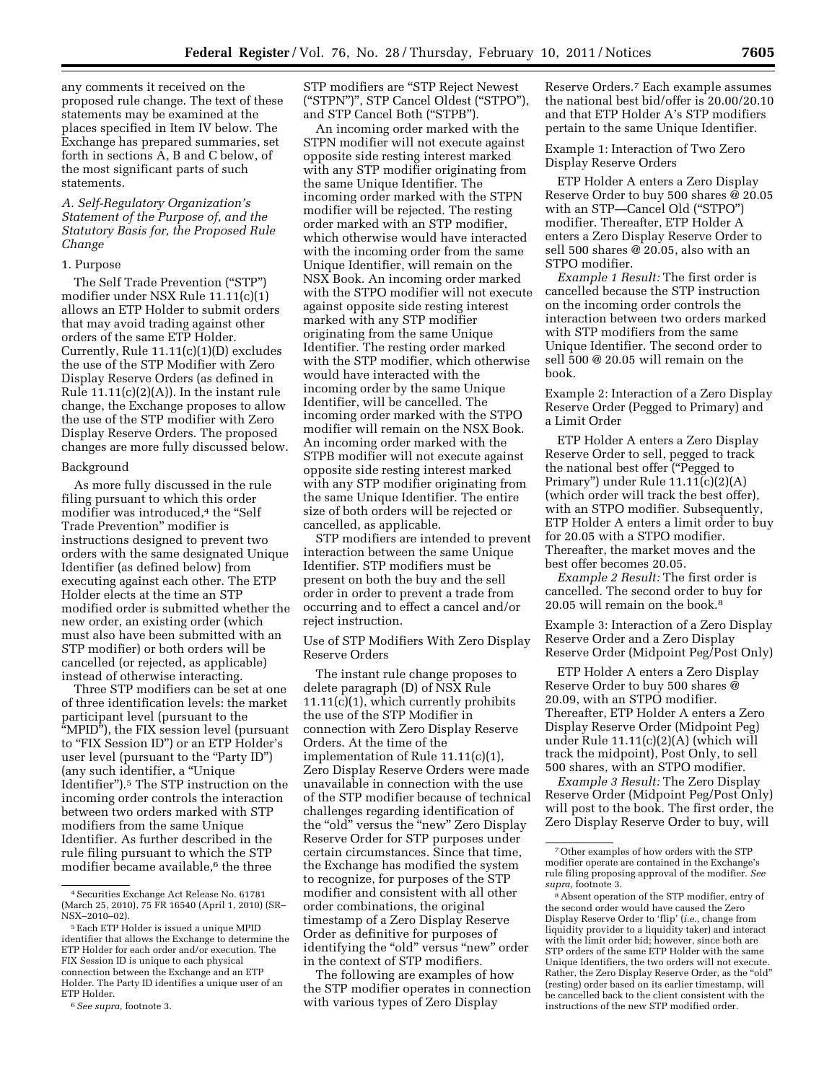any comments it received on the proposed rule change. The text of these statements may be examined at the places specified in Item IV below. The Exchange has prepared summaries, set forth in sections A, B and C below, of the most significant parts of such statements.

*A. Self-Regulatory Organization's Statement of the Purpose of, and the Statutory Basis for, the Proposed Rule Change* 

#### 1. Purpose

The Self Trade Prevention (''STP'') modifier under NSX Rule 11.11(c)(1) allows an ETP Holder to submit orders that may avoid trading against other orders of the same ETP Holder. Currently, Rule 11.11(c)(1)(D) excludes the use of the STP Modifier with Zero Display Reserve Orders (as defined in Rule  $11.11(c)(2)(A)$ . In the instant rule change, the Exchange proposes to allow the use of the STP modifier with Zero Display Reserve Orders. The proposed changes are more fully discussed below.

#### Background

As more fully discussed in the rule filing pursuant to which this order modifier was introduced,<sup>4</sup> the "Self Trade Prevention'' modifier is instructions designed to prevent two orders with the same designated Unique Identifier (as defined below) from executing against each other. The ETP Holder elects at the time an STP modified order is submitted whether the new order, an existing order (which must also have been submitted with an STP modifier) or both orders will be cancelled (or rejected, as applicable) instead of otherwise interacting.

Three STP modifiers can be set at one of three identification levels: the market participant level (pursuant to the ''MPID''), the FIX session level (pursuant to ''FIX Session ID'') or an ETP Holder's user level (pursuant to the "Party ID") (any such identifier, a ''Unique Identifier'').5 The STP instruction on the incoming order controls the interaction between two orders marked with STP modifiers from the same Unique Identifier. As further described in the rule filing pursuant to which the STP modifier became available,<sup>6</sup> the three

STP modifiers are ''STP Reject Newest (''STPN'')'', STP Cancel Oldest (''STPO''), and STP Cancel Both (''STPB'').

An incoming order marked with the STPN modifier will not execute against opposite side resting interest marked with any STP modifier originating from the same Unique Identifier. The incoming order marked with the STPN modifier will be rejected. The resting order marked with an STP modifier, which otherwise would have interacted with the incoming order from the same Unique Identifier, will remain on the NSX Book. An incoming order marked with the STPO modifier will not execute against opposite side resting interest marked with any STP modifier originating from the same Unique Identifier. The resting order marked with the STP modifier, which otherwise would have interacted with the incoming order by the same Unique Identifier, will be cancelled. The incoming order marked with the STPO modifier will remain on the NSX Book. An incoming order marked with the STPB modifier will not execute against opposite side resting interest marked with any STP modifier originating from the same Unique Identifier. The entire size of both orders will be rejected or cancelled, as applicable.

STP modifiers are intended to prevent interaction between the same Unique Identifier. STP modifiers must be present on both the buy and the sell order in order to prevent a trade from occurring and to effect a cancel and/or reject instruction.

Use of STP Modifiers With Zero Display Reserve Orders

The instant rule change proposes to delete paragraph (D) of NSX Rule 11.11(c)(1), which currently prohibits the use of the STP Modifier in connection with Zero Display Reserve Orders. At the time of the implementation of Rule 11.11(c)(1), Zero Display Reserve Orders were made unavailable in connection with the use of the STP modifier because of technical challenges regarding identification of the "old" versus the "new" Zero Display Reserve Order for STP purposes under certain circumstances. Since that time, the Exchange has modified the system to recognize, for purposes of the STP modifier and consistent with all other order combinations, the original timestamp of a Zero Display Reserve Order as definitive for purposes of identifying the "old" versus "new" order in the context of STP modifiers.

The following are examples of how the STP modifier operates in connection with various types of Zero Display

Reserve Orders.7 Each example assumes the national best bid/offer is 20.00/20.10 and that ETP Holder A's STP modifiers pertain to the same Unique Identifier.

Example 1: Interaction of Two Zero Display Reserve Orders

ETP Holder A enters a Zero Display Reserve Order to buy 500 shares @ 20.05 with an STP—Cancel Old ("STPO") modifier. Thereafter, ETP Holder A enters a Zero Display Reserve Order to sell 500 shares @ 20.05, also with an STPO modifier.

*Example 1 Result:* The first order is cancelled because the STP instruction on the incoming order controls the interaction between two orders marked with STP modifiers from the same Unique Identifier. The second order to sell 500 @ 20.05 will remain on the book.

Example 2: Interaction of a Zero Display Reserve Order (Pegged to Primary) and a Limit Order

ETP Holder A enters a Zero Display Reserve Order to sell, pegged to track the national best offer (''Pegged to Primary'') under Rule 11.11(c)(2)(A) (which order will track the best offer), with an STPO modifier. Subsequently, ETP Holder A enters a limit order to buy for 20.05 with a STPO modifier. Thereafter, the market moves and the best offer becomes 20.05.

*Example 2 Result:* The first order is cancelled. The second order to buy for 20.05 will remain on the book.8

Example 3: Interaction of a Zero Display Reserve Order and a Zero Display Reserve Order (Midpoint Peg/Post Only)

ETP Holder A enters a Zero Display Reserve Order to buy 500 shares @ 20.09, with an STPO modifier. Thereafter, ETP Holder A enters a Zero Display Reserve Order (Midpoint Peg) under Rule 11.11(c)(2)(A) (which will track the midpoint), Post Only, to sell 500 shares, with an STPO modifier.

*Example 3 Result:* The Zero Display Reserve Order (Midpoint Peg/Post Only) will post to the book. The first order, the Zero Display Reserve Order to buy, will

<sup>4</sup>Securities Exchange Act Release No. 61781 (March 25, 2010), 75 FR 16540 (April 1, 2010) (SR– NSX–2010–02).

<sup>5</sup>Each ETP Holder is issued a unique MPID identifier that allows the Exchange to determine the ETP Holder for each order and/or execution. The FIX Session ID is unique to each physical connection between the Exchange and an ETP Holder. The Party ID identifies a unique user of an ETP Holder.

<sup>6</sup>*See supra,* footnote 3.

<sup>7</sup>Other examples of how orders with the STP modifier operate are contained in the Exchange's rule filing proposing approval of the modifier. *See supra,* footnote 3.

<sup>8</sup>Absent operation of the STP modifier, entry of the second order would have caused the Zero Display Reserve Order to 'flip' (*i.e.,* change from liquidity provider to a liquidity taker) and interact with the limit order bid; however, since both are STP orders of the same ETP Holder with the same Unique Identifiers, the two orders will not execute. Rather, the Zero Display Reserve Order, as the "old" (resting) order based on its earlier timestamp, will be cancelled back to the client consistent with the instructions of the new STP modified order.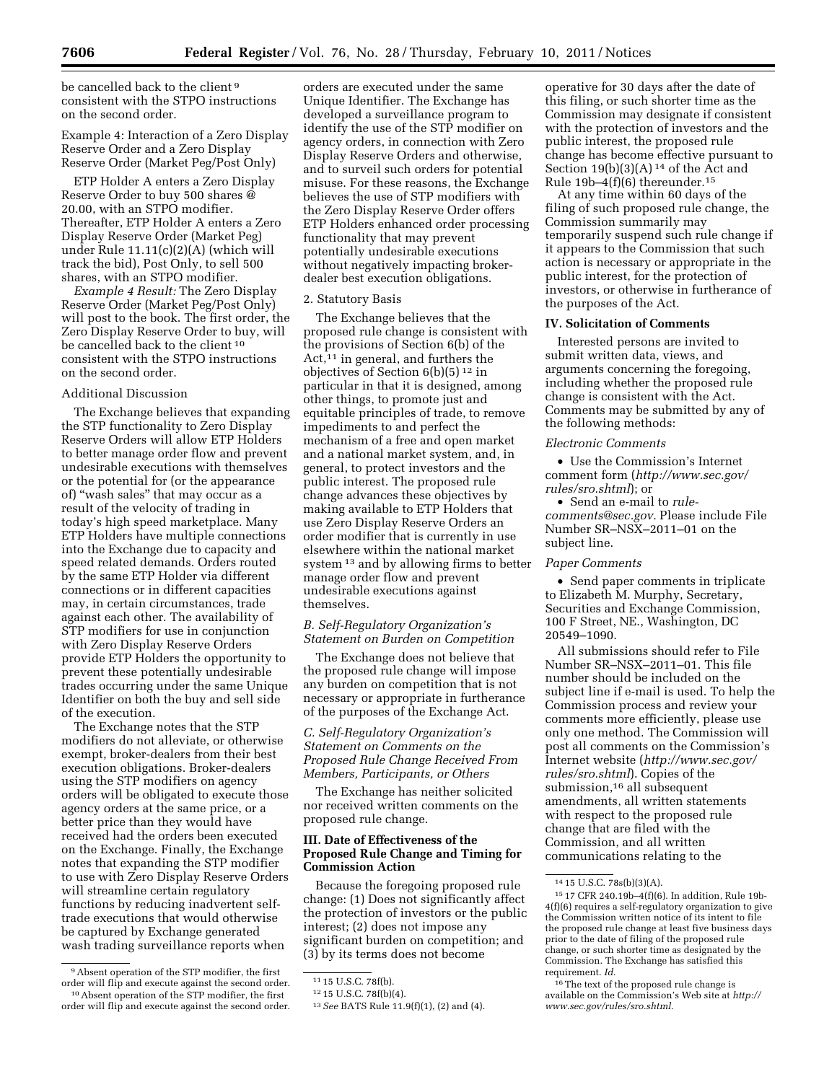be cancelled back to the client 9 consistent with the STPO instructions on the second order.

# Example 4: Interaction of a Zero Display Reserve Order and a Zero Display Reserve Order (Market Peg/Post Only)

ETP Holder A enters a Zero Display Reserve Order to buy 500 shares @ 20.00, with an STPO modifier. Thereafter, ETP Holder A enters a Zero Display Reserve Order (Market Peg) under Rule 11.11(c)(2)(A) (which will track the bid), Post Only, to sell 500 shares, with an STPO modifier.

*Example 4 Result:* The Zero Display Reserve Order (Market Peg/Post Only) will post to the book. The first order, the Zero Display Reserve Order to buy, will be cancelled back to the client 10 consistent with the STPO instructions on the second order.

## Additional Discussion

The Exchange believes that expanding the STP functionality to Zero Display Reserve Orders will allow ETP Holders to better manage order flow and prevent undesirable executions with themselves or the potential for (or the appearance of) ''wash sales'' that may occur as a result of the velocity of trading in today's high speed marketplace. Many ETP Holders have multiple connections into the Exchange due to capacity and speed related demands. Orders routed by the same ETP Holder via different connections or in different capacities may, in certain circumstances, trade against each other. The availability of STP modifiers for use in conjunction with Zero Display Reserve Orders provide ETP Holders the opportunity to prevent these potentially undesirable trades occurring under the same Unique Identifier on both the buy and sell side of the execution.

The Exchange notes that the STP modifiers do not alleviate, or otherwise exempt, broker-dealers from their best execution obligations. Broker-dealers using the STP modifiers on agency orders will be obligated to execute those agency orders at the same price, or a better price than they would have received had the orders been executed on the Exchange. Finally, the Exchange notes that expanding the STP modifier to use with Zero Display Reserve Orders will streamline certain regulatory functions by reducing inadvertent selftrade executions that would otherwise be captured by Exchange generated wash trading surveillance reports when

orders are executed under the same Unique Identifier. The Exchange has developed a surveillance program to identify the use of the STP modifier on agency orders, in connection with Zero Display Reserve Orders and otherwise, and to surveil such orders for potential misuse. For these reasons, the Exchange believes the use of STP modifiers with the Zero Display Reserve Order offers ETP Holders enhanced order processing functionality that may prevent potentially undesirable executions without negatively impacting brokerdealer best execution obligations.

#### 2. Statutory Basis

The Exchange believes that the proposed rule change is consistent with the provisions of Section 6(b) of the Act,<sup>11</sup> in general, and furthers the objectives of Section 6(b)(5) 12 in particular in that it is designed, among other things, to promote just and equitable principles of trade, to remove impediments to and perfect the mechanism of a free and open market and a national market system, and, in general, to protect investors and the public interest. The proposed rule change advances these objectives by making available to ETP Holders that use Zero Display Reserve Orders an order modifier that is currently in use elsewhere within the national market system 13 and by allowing firms to better manage order flow and prevent undesirable executions against themselves.

# *B. Self-Regulatory Organization's Statement on Burden on Competition*

The Exchange does not believe that the proposed rule change will impose any burden on competition that is not necessary or appropriate in furtherance of the purposes of the Exchange Act.

# *C. Self-Regulatory Organization's Statement on Comments on the Proposed Rule Change Received From Members, Participants, or Others*

The Exchange has neither solicited nor received written comments on the proposed rule change.

# **III. Date of Effectiveness of the Proposed Rule Change and Timing for Commission Action**

Because the foregoing proposed rule change: (1) Does not significantly affect the protection of investors or the public interest; (2) does not impose any significant burden on competition; and (3) by its terms does not become

operative for 30 days after the date of this filing, or such shorter time as the Commission may designate if consistent with the protection of investors and the public interest, the proposed rule change has become effective pursuant to Section  $19(b)(3)(A)$ <sup>14</sup> of the Act and Rule  $19b-4(f)(6)$  thereunder.<sup>15</sup>

At any time within 60 days of the filing of such proposed rule change, the Commission summarily may temporarily suspend such rule change if it appears to the Commission that such action is necessary or appropriate in the public interest, for the protection of investors, or otherwise in furtherance of the purposes of the Act.

# **IV. Solicitation of Comments**

Interested persons are invited to submit written data, views, and arguments concerning the foregoing, including whether the proposed rule change is consistent with the Act. Comments may be submitted by any of the following methods:

# *Electronic Comments*

• Use the Commission's Internet comment form (*[http://www.sec.gov/](http://www.sec.gov/rules/sro.shtml)  [rules/sro.shtml](http://www.sec.gov/rules/sro.shtml)*); or

• Send an e-mail to *[rule](mailto:rule-comments@sec.gov)[comments@sec.gov.](mailto:rule-comments@sec.gov)* Please include File Number SR–NSX–2011–01 on the subject line.

#### *Paper Comments*

• Send paper comments in triplicate to Elizabeth M. Murphy, Secretary, Securities and Exchange Commission, 100 F Street, NE., Washington, DC 20549–1090.

All submissions should refer to File Number SR–NSX–2011–01. This file number should be included on the subject line if e-mail is used. To help the Commission process and review your comments more efficiently, please use only one method. The Commission will post all comments on the Commission's Internet website (*[http://www.sec.gov/](http://www.sec.gov/rules/sro.shtml)  [rules/sro.shtml](http://www.sec.gov/rules/sro.shtml)*). Copies of the submission,<sup>16</sup> all subsequent amendments, all written statements with respect to the proposed rule change that are filed with the Commission, and all written communications relating to the

<sup>9</sup>Absent operation of the STP modifier, the first order will flip and execute against the second order. 10Absent operation of the STP modifier, the first order will flip and execute against the second order.

<sup>11</sup> 15 U.S.C. 78f(b).

<sup>12</sup> 15 U.S.C. 78f(b)(4).

<sup>13</sup>*See* BATS Rule 11.9(f)(1), (2) and (4).

<sup>14</sup> 15 U.S.C. 78s(b)(3)(A).

<sup>15</sup> 17 CFR 240.19b–4(f)(6). In addition, Rule 19b-4(f)(6) requires a self-regulatory organization to give the Commission written notice of its intent to file the proposed rule change at least five business days prior to the date of filing of the proposed rule change, or such shorter time as designated by the Commission. The Exchange has satisfied this requirement. *Id.* 

<sup>&</sup>lt;sup>16</sup>The text of the proposed rule change is available on the Commission's Web site at *[http://](http://www.sec.gov/rules/sro.shtml)  [www.sec.gov/rules/sro.shtml.](http://www.sec.gov/rules/sro.shtml)*